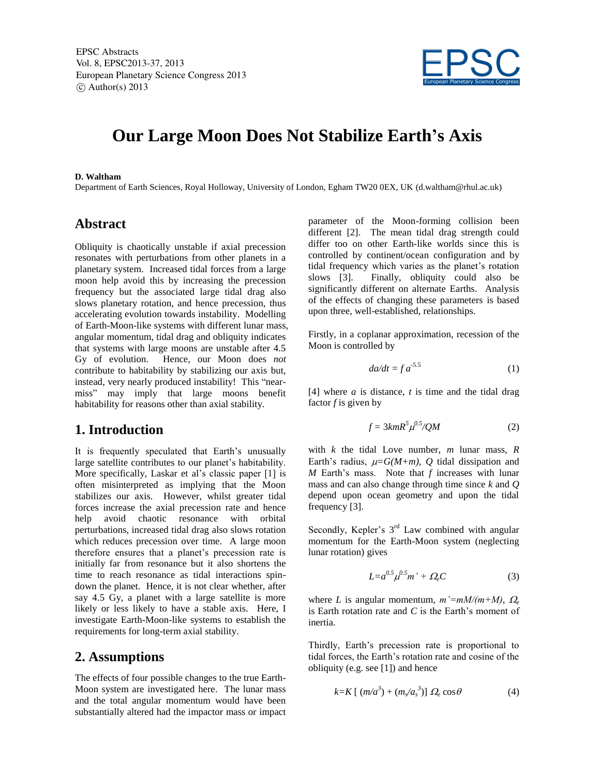EPSC Abstracts Vol. 8, EPSC2013-37, 2013 European Planetary Science Congress 2013  $\circ$  Author(s) 2013



# **Our Large Moon Does Not Stabilize Earth's Axis**

#### **D. Waltham**

Department of Earth Sciences, Royal Holloway, University of London, Egham TW20 0EX, UK (d.waltham@rhul.ac.uk)

# **Abstract**

Obliquity is chaotically unstable if axial precession resonates with perturbations from other planets in a planetary system. Increased tidal forces from a large moon help avoid this by increasing the precession frequency but the associated large tidal drag also slows planetary rotation, and hence precession, thus accelerating evolution towards instability. Modelling of Earth-Moon-like systems with different lunar mass, angular momentum, tidal drag and obliquity indicates that systems with large moons are unstable after 4.5 Gy of evolution. Hence, our Moon does *not* contribute to habitability by stabilizing our axis but, instead, very nearly produced instability! This "nearmiss" may imply that large moons benefit habitability for reasons other than axial stability.

### **1. Introduction**

It is frequently speculated that Earth's unusually large satellite contributes to our planet's habitability. More specifically, Laskar et al's classic paper [1] is often misinterpreted as implying that the Moon stabilizes our axis. However, whilst greater tidal forces increase the axial precession rate and hence help avoid chaotic resonance with orbital perturbations, increased tidal drag also slows rotation which reduces precession over time. A large moon therefore ensures that a planet's precession rate is initially far from resonance but it also shortens the time to reach resonance as tidal interactions spindown the planet. Hence, it is not clear whether, after say 4.5 Gy, a planet with a large satellite is more likely or less likely to have a stable axis. Here, I investigate Earth-Moon-like systems to establish the requirements for long-term axial stability.

# **2. Assumptions**

The effects of four possible changes to the true Earth-Moon system are investigated here. The lunar mass and the total angular momentum would have been substantially altered had the impactor mass or impact

parameter of the Moon-forming collision been different [2]. The mean tidal drag strength could differ too on other Earth-like worlds since this is controlled by continent/ocean configuration and by tidal frequency which varies as the planet's rotation slows [3]. Finally, obliquity could also be significantly different on alternate Earths. Analysis of the effects of changing these parameters is based upon three, well-established, relationships.

Firstly, in a coplanar approximation, recession of the Moon is controlled by

$$
da/dt = f a^{-5.5} \tag{1}
$$

[4] where *a* is distance, *t* is time and the tidal drag factor *f* is given by

$$
f = 3kmR^5 \mu^{0.5}/QM \tag{2}
$$

with *k* the tidal Love number, *m* lunar mass, *R* Earth's radius,  $\mu = G(M+m)$ , *Q* tidal dissipation and *M* Earth's mass. Note that *f* increases with lunar mass and can also change through time since *k* and *Q* depend upon ocean geometry and upon the tidal frequency [3].

Secondly, Kepler's  $3<sup>rd</sup>$  Law combined with angular momentum for the Earth-Moon system (neglecting lunar rotation) gives

$$
L = a^{0.5} \mu^{0.5} m' + \Omega_e C \tag{3}
$$

where *L* is angular momentum,  $m' = mM/(m+M)$ ,  $\Omega_e$ is Earth rotation rate and *C* is the Earth's moment of inertia.

Thirdly, Earth's precession rate is proportional to tidal forces, the Earth's rotation rate and cosine of the obliquity (e.g. see [1]) and hence

$$
k=K\left[\right.(m/a^3)+(m_s/a_s^3)\right]\Omega_e\cos\theta\tag{4}
$$